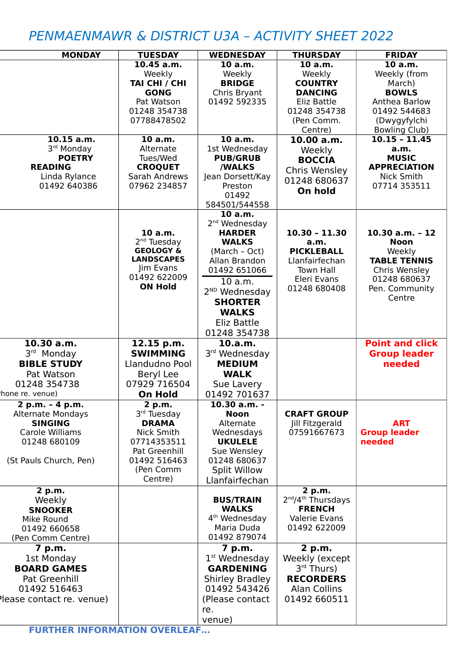## PENMAENMAWR & DISTRICT U3A – ACTIVITY SHEET 2022

|                          |                                           |                           |                                            | <b>FRIDAY</b>          |
|--------------------------|-------------------------------------------|---------------------------|--------------------------------------------|------------------------|
| <b>MONDAY</b>            | <b>TUESDAY</b>                            | <b>WEDNESDAY</b>          | <b>THURSDAY</b>                            |                        |
|                          | $10.45$ a.m.                              | 10 a.m.                   | 10 a.m.                                    | 10 a.m.                |
|                          | Weekly                                    | Weekly                    | Weekly                                     | Weekly (from           |
|                          | TAI CHI / CHI                             | <b>BRIDGE</b>             | <b>COUNTRY</b>                             | March)                 |
|                          | <b>GONG</b>                               | Chris Bryant              | <b>DANCING</b>                             | <b>BOWLS</b>           |
|                          | Pat Watson                                | 01492 592335              | Eliz Battle                                | Anthea Barlow          |
|                          | 01248 354738                              |                           | 01248 354738                               | 01492 544683           |
|                          | 07788478502                               |                           | (Pen Comm.                                 | (Dwygyfylchi           |
|                          |                                           |                           | Centre)                                    | <b>Bowling Club)</b>   |
| 10.15 a.m.               | 10a.m.                                    | 10 a.m.                   | 10.00 a.m.                                 | $10.15 - 11.45$        |
| 3rd Monday               | Alternate                                 | 1st Wednesday             | Weekly                                     | a.m.                   |
| <b>POETRY</b>            | Tues/Wed                                  | <b>PUB/GRUB</b>           | <b>BOCCIA</b>                              | <b>MUSIC</b>           |
| <b>READING</b>           | <b>CROQUET</b>                            | /WALKS                    | Chris Wensley                              | <b>APPRECIATION</b>    |
| Linda Rylance            | Sarah Andrews                             | Jean Dorsett/Kay          | 01248 680637                               | Nick Smith             |
| 01492 640386             | 07962 234857                              | Preston                   | On hold                                    | 07714 353511           |
|                          |                                           | 01492                     |                                            |                        |
|                          |                                           | 584501/544558             |                                            |                        |
|                          |                                           | 10 a.m.                   |                                            |                        |
|                          |                                           | 2 <sup>nd</sup> Wednesday |                                            |                        |
|                          | 10 a.m.                                   | <b>HARDER</b>             | $10.30 - 11.30$                            | $10.30$ a.m. - 12      |
|                          | 2 <sup>nd</sup> Tuesday                   | <b>WALKS</b>              | a.m.                                       | <b>Noon</b>            |
|                          | <b>GEOLOGY &amp;</b><br><b>LANDSCAPES</b> | (March - Oct)             | <b>PICKLEBALL</b>                          | Weekly                 |
|                          | Jim Evans                                 | Allan Brandon             | Llanfairfechan                             | <b>TABLE TENNIS</b>    |
|                          | 01492 622009                              | 01492 651066              | <b>Town Hall</b>                           | Chris Wensley          |
|                          | <b>ON Hold</b>                            | 10 a.m.                   | Eleri Evans                                | 01248 680637           |
|                          |                                           | 2 <sup>ND</sup> Wednesday | 01248 680408                               | Pen. Community         |
|                          |                                           | <b>SHORTER</b>            |                                            | Centre                 |
|                          |                                           | <b>WALKS</b>              |                                            |                        |
|                          |                                           | Eliz Battle               |                                            |                        |
|                          |                                           | 01248 354738              |                                            |                        |
| 10.30 a.m.               | 12.15 p.m.                                | 10.a.m.                   |                                            | <b>Point and click</b> |
| 3rd Monday               | <b>SWIMMING</b>                           | 3rd Wednesday             |                                            | <b>Group leader</b>    |
| <b>BIBLE STUDY</b>       | Llandudno Pool                            | <b>MEDIUM</b>             |                                            | needed                 |
| Pat Watson               |                                           | <b>WALK</b>               |                                            |                        |
|                          | Beryl Lee                                 |                           |                                            |                        |
| 01248 354738             | 07929 716504                              | Sue Lavery                |                                            |                        |
| hone re. venue)          | <b>On Hold</b>                            | 01492 701637              |                                            |                        |
| $2 p.m. - 4 p.m.$        | 2 p.m.                                    | $10.30$ a.m. -            |                                            |                        |
| <b>Alternate Mondays</b> | 3rd Tuesday                               | <b>Noon</b>               | <b>CRAFT GROUP</b>                         |                        |
| <b>SINGING</b>           | <b>DRAMA</b>                              | Alternate                 | Jill Fitzgerald                            | <b>ART</b>             |
| Carole Williams          | Nick Smith                                | Wednesdays                | 07591667673                                | <b>Group leader</b>    |
| 01248 680109             | 07714353511                               | <b>UKULELE</b>            |                                            | needed                 |
|                          | Pat Greenhill                             | Sue Wensley               |                                            |                        |
| (St Pauls Church, Pen)   | 01492 516463                              | 01248 680637              |                                            |                        |
|                          | (Pen Comm                                 | <b>Split Willow</b>       |                                            |                        |
|                          | Centre)                                   | Llanfairfechan            |                                            |                        |
| 2 p.m.                   |                                           |                           | 2 p.m.                                     |                        |
| Weekly                   |                                           | <b>BUS/TRAIN</b>          | 2 <sup>nd</sup> /4 <sup>th</sup> Thursdays |                        |
| <b>SNOOKER</b>           |                                           | <b>WALKS</b>              | <b>FRENCH</b>                              |                        |
| Mike Round               |                                           | 4 <sup>th</sup> Wednesday | Valerie Evans                              |                        |
| 01492 660658             |                                           | Maria Duda                | 01492 622009                               |                        |
| (Pen Comm Centre)        |                                           | 01492 879074              |                                            |                        |
| 7 p.m.                   |                                           | 7 p.m.                    | 2 p.m.                                     |                        |
| 1st Monday               |                                           | $1st$ Wednesday           | Weekly (except                             |                        |
| <b>BOARD GAMES</b>       |                                           | <b>GARDENING</b>          | $3rd$ Thurs)                               |                        |
| Pat Greenhill            |                                           | <b>Shirley Bradley</b>    | <b>RECORDERS</b>                           |                        |
| 01492 516463             |                                           | 01492 543426              | Alan Collins                               |                        |
| lease contact re. venue) |                                           |                           |                                            |                        |
|                          |                                           |                           |                                            |                        |
|                          |                                           | (Please contact           | 01492 660511                               |                        |
|                          |                                           | re.<br>venue)             |                                            |                        |

**FURTHER INFORMATION OVERLEAF…**